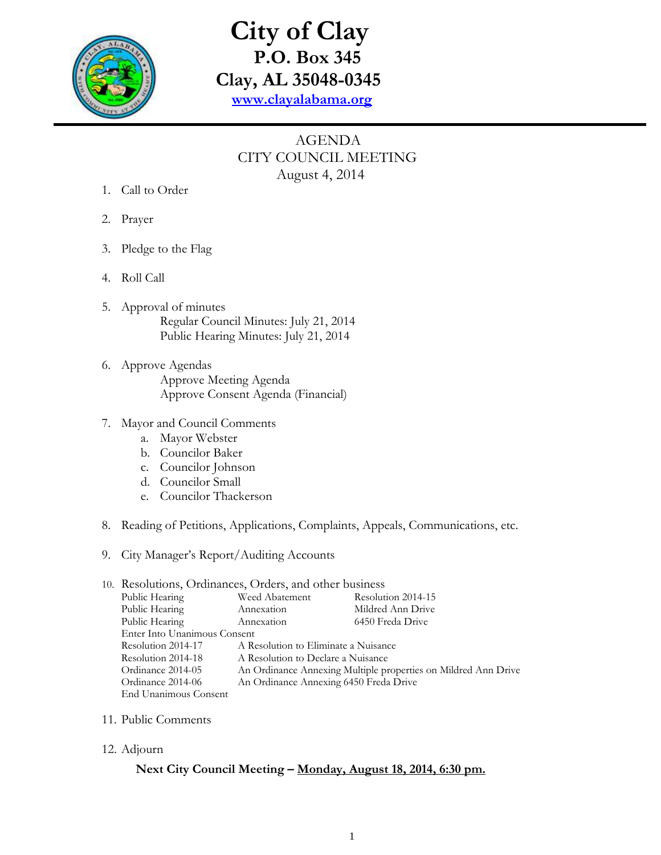

## **City of Clay P.O. Box 345 Clay, AL 35048-0345 [www.clayalabama.org](http://www.clayalabama.org/)**

## AGENDA CITY COUNCIL MEETING August 4, 2014

- 1. Call to Order
- 2. Prayer
- 3. Pledge to the Flag
- 4. Roll Call
- 5. Approval of minutes Regular Council Minutes: July 21, 2014 Public Hearing Minutes: July 21, 2014
- 6. Approve Agendas Approve Meeting Agenda Approve Consent Agenda (Financial)

## 7. Mayor and Council Comments

- a. Mayor Webster
- b. Councilor Baker
- c. Councilor Johnson
- d. Councilor Small
- e. Councilor Thackerson
- 8. Reading of Petitions, Applications, Complaints, Appeals, Communications, etc.
- 9. City Manager's Report/Auditing Accounts

| 10. Resolutions, Ordinances, Orders, and other business |                                                                |                    |
|---------------------------------------------------------|----------------------------------------------------------------|--------------------|
| Public Hearing                                          | Weed Abatement                                                 | Resolution 2014-15 |
| Public Hearing                                          | Annexation                                                     | Mildred Ann Drive  |
| Public Hearing                                          | Annexation                                                     | 6450 Freda Drive   |
| Enter Into Unanimous Consent                            |                                                                |                    |
| Resolution 2014-17                                      | A Resolution to Eliminate a Nuisance                           |                    |
| Resolution 2014-18                                      | A Resolution to Declare a Nuisance                             |                    |
| Ordinance 2014-05                                       | An Ordinance Annexing Multiple properties on Mildred Ann Drive |                    |
| Ordinance 2014-06                                       | An Ordinance Annexing 6450 Freda Drive                         |                    |
| End Unanimous Consent                                   |                                                                |                    |

- 11. Public Comments
- 12. Adjourn

## **Next City Council Meeting – Monday, August 18, 2014, 6:30 pm.**